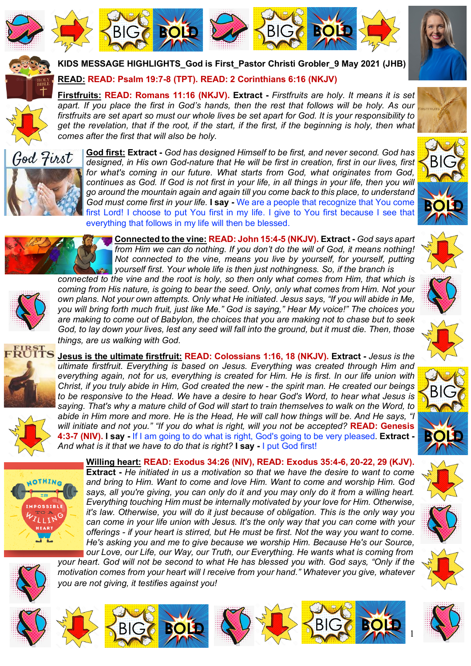







**KIDS MESSAGE HIGHLIGHTS\_God is First\_Pastor Christi Grobler\_9 May 2021 (JHB)**

**READ: READ: Psalm 19:7-8 (TPT). READ: 2 Corinthians 6:16 (NKJV)**

**Firstfruits: READ: Romans 11:16 (NKJV). Extract -** *Firstfruits are holy. It means it is set apart. If you place the first in God's hands, then the rest that follows will be holy. As our firstfruits are set apart so must our whole lives be set apart for God. It is your responsibility to get the revelation, that if the root, if the start, if the first, if the beginning is holy, then what comes after the first that will also be holy.* 



**God first: Extract -** *God has designed Himself to be first, and never second. God has designed, in His own God-nature that He will be first in creation, first in our lives, first for what's coming in our future. What starts from God, what originates from God, continues as God. If God is not first in your life, in all things in your life, then you will go around the mountain again and again till you come back to this place, to understand God must come first in your life.* **I say -** We are a people that recognize that You come first Lord! I choose to put You first in my life. I give to You first because I see that everything that follows in my life will then be blessed.







**Connected to the vine: READ: John 15:4-5 (NKJV). Extract -** *God says apart from Him we can do nothing. If you don't do the will of God, it means nothing! Not connected to the vine, means you live by yourself, for yourself, putting yourself first. Your whole life is then just nothingness. So, if the branch is* 

*connected to the vine and the root is holy, so then only what comes from Him, that which is coming from His nature, is going to bear the seed. Only, only what comes from Him. Not your own plans. Not your own attempts. Only what He initiated. Jesus says, "If you will abide in Me, you will bring forth much fruit, just like Me." God is saying," Hear My voice!" The choices you are making to come out of Babylon, the choices that you are making not to chase but to seek God, to lay down your lives, lest any seed will fall into the ground, but it must die. Then, those things, are us walking with God.* 





**Jesus is the ultimate firstfruit: READ: Colossians 1:16, 18 (NKJV). Extract -** *Jesus is the ultimate firstfruit. Everything is based on Jesus. Everything was created through Him and everything again, not for us, everything is created for Him. He is first. In our life union with Christ, if you truly abide in Him, God created the new - the spirit man. He created our beings to be responsive to the Head. We have a desire to hear God's Word, to hear what Jesus is saying. That's why a mature child of God will start to train themselves to walk on the Word, to abide in Him more and more. He is the Head, He will call how things will be. And He says, "I will initiate and not you." "If you do what is right, will you not be accepted?* **READ: Genesis 4:3-7 (NIV). I say -** If I am going to do what is right, God's going to be very pleased. **Extract -** *And what is it that we have to do that is right?* **I say -** I put God first!



**Willing heart: READ: Exodus 34:26 (NIV), READ: Exodus 35:4-6, 20-22, 29 (KJV). Extract -** *He initiated in us a motivation so that we have the desire to want to come and bring to Him. Want to come and love Him. Want to come and worship Him. God says, all you're giving, you can only do it and you may only do it from a willing heart. Everything touching Him must be internally motivated by your love for Him. Otherwise, it's law. Otherwise, you will do it just because of obligation. This is the only way you can come in your life union with Jesus. It's the only way that you can come with your offerings - if your heart is stirred, but He must be first. Not the way you want to come. He's asking you and me to give because we worship Him. Because He's our Source, our Love, our Life, our Way, our Truth, our Everything. He wants what is coming from* 

BIGG **BOLD** ALL BIGG BOLD

*your heart. God will not be second to what He has blessed you with. God says, "Only if the motivation comes from your heart will I receive from your hand." Whatever you give, whatever you are not giving, it testifies against you!* 



BIG

**BOLD**

1